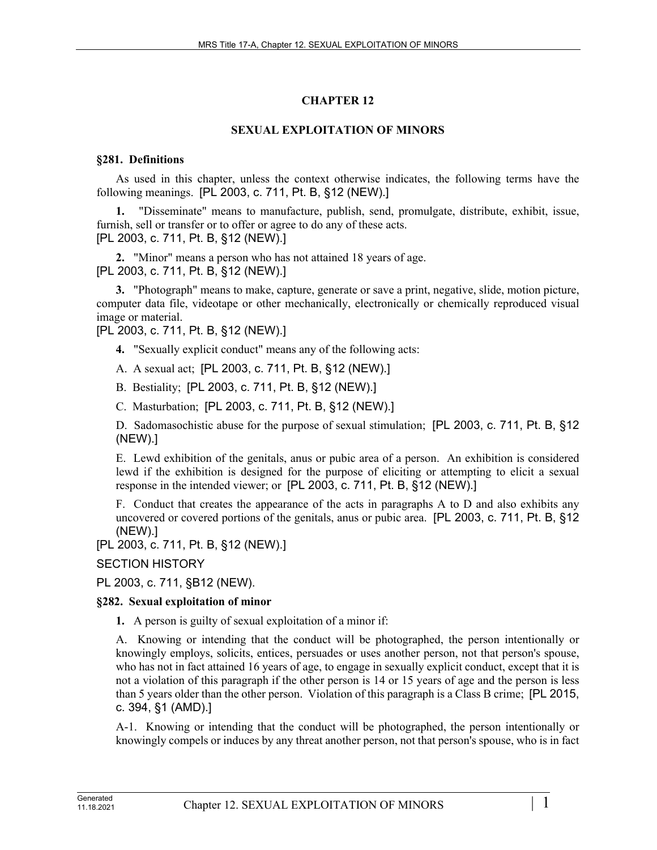# **CHAPTER 12**

## **SEXUAL EXPLOITATION OF MINORS**

### **§281. Definitions**

As used in this chapter, unless the context otherwise indicates, the following terms have the following meanings. [PL 2003, c. 711, Pt. B, §12 (NEW).]

**1.** "Disseminate" means to manufacture, publish, send, promulgate, distribute, exhibit, issue, furnish, sell or transfer or to offer or agree to do any of these acts. [PL 2003, c. 711, Pt. B, §12 (NEW).]

**2.** "Minor" means a person who has not attained 18 years of age. [PL 2003, c. 711, Pt. B, §12 (NEW).]

**3.** "Photograph" means to make, capture, generate or save a print, negative, slide, motion picture, computer data file, videotape or other mechanically, electronically or chemically reproduced visual image or material.

[PL 2003, c. 711, Pt. B, §12 (NEW).]

**4.** "Sexually explicit conduct" means any of the following acts:

A. A sexual act; [PL 2003, c. 711, Pt. B, §12 (NEW).]

B. Bestiality; [PL 2003, c. 711, Pt. B, §12 (NEW).]

C. Masturbation; [PL 2003, c. 711, Pt. B, §12 (NEW).]

D. Sadomasochistic abuse for the purpose of sexual stimulation; [PL 2003, c. 711, Pt. B, §12 (NEW).]

E. Lewd exhibition of the genitals, anus or pubic area of a person. An exhibition is considered lewd if the exhibition is designed for the purpose of eliciting or attempting to elicit a sexual response in the intended viewer; or [PL 2003, c. 711, Pt. B, §12 (NEW).]

F. Conduct that creates the appearance of the acts in paragraphs A to D and also exhibits any uncovered or covered portions of the genitals, anus or pubic area. [PL 2003, c. 711, Pt. B, §12 (NEW).]

[PL 2003, c. 711, Pt. B, §12 (NEW).]

SECTION HISTORY

PL 2003, c. 711, §B12 (NEW).

### **§282. Sexual exploitation of minor**

**1.** A person is guilty of sexual exploitation of a minor if:

A. Knowing or intending that the conduct will be photographed, the person intentionally or knowingly employs, solicits, entices, persuades or uses another person, not that person's spouse, who has not in fact attained 16 years of age, to engage in sexually explicit conduct, except that it is not a violation of this paragraph if the other person is 14 or 15 years of age and the person is less than 5 years older than the other person. Violation of this paragraph is a Class B crime; [PL 2015, c. 394, §1 (AMD).]

A-1. Knowing or intending that the conduct will be photographed, the person intentionally or knowingly compels or induces by any threat another person, not that person's spouse, who is in fact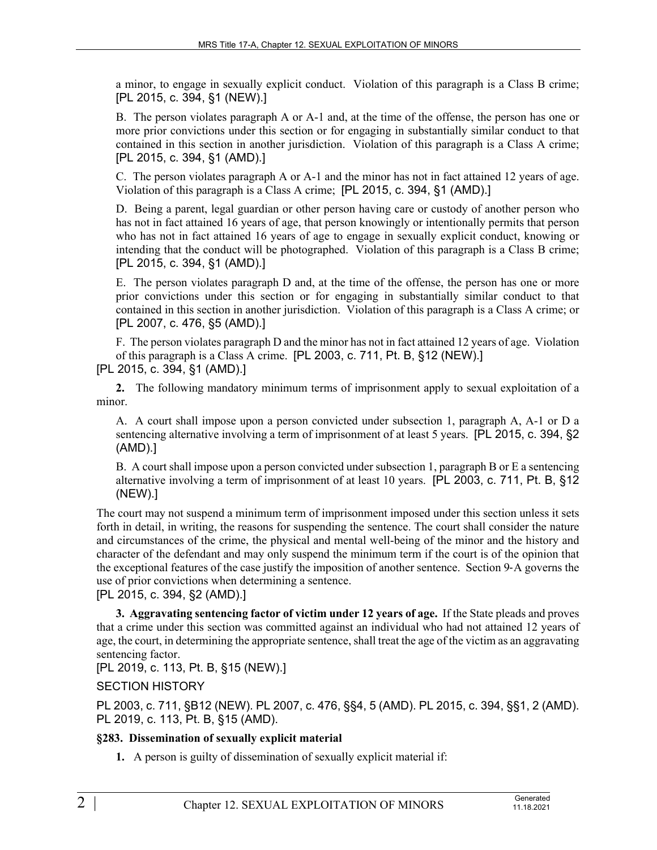a minor, to engage in sexually explicit conduct. Violation of this paragraph is a Class B crime; [PL 2015, c. 394, §1 (NEW).]

B. The person violates paragraph A or A-1 and, at the time of the offense, the person has one or more prior convictions under this section or for engaging in substantially similar conduct to that contained in this section in another jurisdiction. Violation of this paragraph is a Class A crime; [PL 2015, c. 394, §1 (AMD).]

C. The person violates paragraph A or A-1 and the minor has not in fact attained 12 years of age. Violation of this paragraph is a Class A crime; [PL 2015, c. 394, §1 (AMD).]

D. Being a parent, legal guardian or other person having care or custody of another person who has not in fact attained 16 years of age, that person knowingly or intentionally permits that person who has not in fact attained 16 years of age to engage in sexually explicit conduct, knowing or intending that the conduct will be photographed. Violation of this paragraph is a Class B crime; [PL 2015, c. 394, §1 (AMD).]

E. The person violates paragraph D and, at the time of the offense, the person has one or more prior convictions under this section or for engaging in substantially similar conduct to that contained in this section in another jurisdiction. Violation of this paragraph is a Class A crime; or [PL 2007, c. 476, §5 (AMD).]

F. The person violates paragraph D and the minor has not in fact attained 12 years of age. Violation of this paragraph is a Class A crime. [PL 2003, c. 711, Pt. B, §12 (NEW).]

[PL 2015, c. 394, §1 (AMD).]

**2.** The following mandatory minimum terms of imprisonment apply to sexual exploitation of a minor.

A. A court shall impose upon a person convicted under subsection 1, paragraph A, A-1 or D a sentencing alternative involving a term of imprisonment of at least 5 years. [PL 2015, c. 394, §2 (AMD).]

B. A court shall impose upon a person convicted under subsection 1, paragraph B or E a sentencing alternative involving a term of imprisonment of at least 10 years. [PL 2003, c. 711, Pt. B, §12 (NEW).]

The court may not suspend a minimum term of imprisonment imposed under this section unless it sets forth in detail, in writing, the reasons for suspending the sentence. The court shall consider the nature and circumstances of the crime, the physical and mental well-being of the minor and the history and character of the defendant and may only suspend the minimum term if the court is of the opinion that the exceptional features of the case justify the imposition of another sentence. Section 9‑A governs the use of prior convictions when determining a sentence.

[PL 2015, c. 394, §2 (AMD).]

**3. Aggravating sentencing factor of victim under 12 years of age.** If the State pleads and proves that a crime under this section was committed against an individual who had not attained 12 years of age, the court, in determining the appropriate sentence, shall treat the age of the victim as an aggravating sentencing factor.

[PL 2019, c. 113, Pt. B, §15 (NEW).]

SECTION HISTORY

PL 2003, c. 711, §B12 (NEW). PL 2007, c. 476, §§4, 5 (AMD). PL 2015, c. 394, §§1, 2 (AMD). PL 2019, c. 113, Pt. B, §15 (AMD).

## **§283. Dissemination of sexually explicit material**

**1.** A person is guilty of dissemination of sexually explicit material if: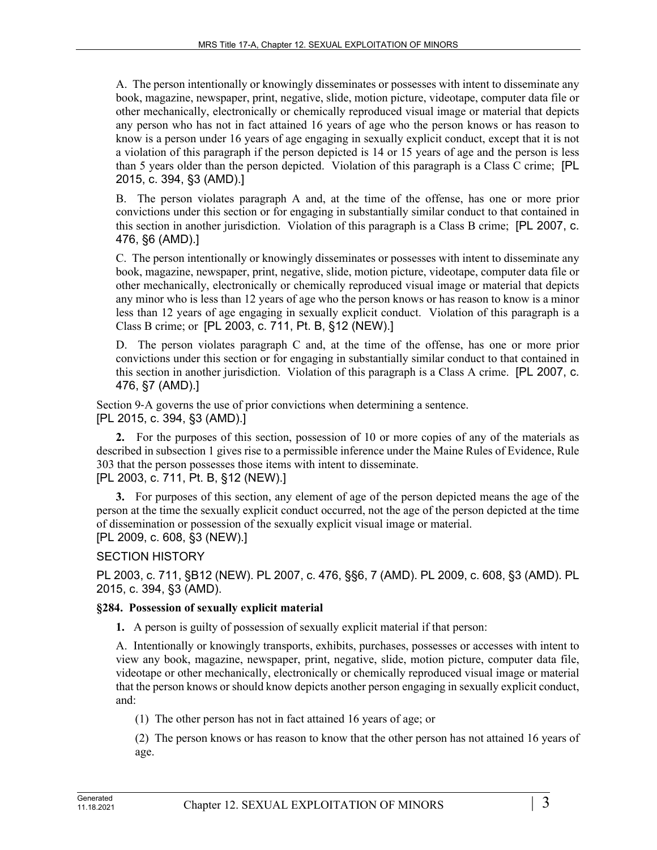A. The person intentionally or knowingly disseminates or possesses with intent to disseminate any book, magazine, newspaper, print, negative, slide, motion picture, videotape, computer data file or other mechanically, electronically or chemically reproduced visual image or material that depicts any person who has not in fact attained 16 years of age who the person knows or has reason to know is a person under 16 years of age engaging in sexually explicit conduct, except that it is not a violation of this paragraph if the person depicted is 14 or 15 years of age and the person is less than 5 years older than the person depicted. Violation of this paragraph is a Class C crime; [PL 2015, c. 394, §3 (AMD).]

B. The person violates paragraph A and, at the time of the offense, has one or more prior convictions under this section or for engaging in substantially similar conduct to that contained in this section in another jurisdiction. Violation of this paragraph is a Class B crime; [PL 2007, c. 476, §6 (AMD).]

C. The person intentionally or knowingly disseminates or possesses with intent to disseminate any book, magazine, newspaper, print, negative, slide, motion picture, videotape, computer data file or other mechanically, electronically or chemically reproduced visual image or material that depicts any minor who is less than 12 years of age who the person knows or has reason to know is a minor less than 12 years of age engaging in sexually explicit conduct. Violation of this paragraph is a Class B crime; or [PL 2003, c. 711, Pt. B, §12 (NEW).]

D. The person violates paragraph C and, at the time of the offense, has one or more prior convictions under this section or for engaging in substantially similar conduct to that contained in this section in another jurisdiction. Violation of this paragraph is a Class A crime. [PL 2007, c. 476, §7 (AMD).]

Section 9-A governs the use of prior convictions when determining a sentence. [PL 2015, c. 394, §3 (AMD).]

**2.** For the purposes of this section, possession of 10 or more copies of any of the materials as described in subsection 1 gives rise to a permissible inference under the Maine Rules of Evidence, Rule 303 that the person possesses those items with intent to disseminate.

[PL 2003, c. 711, Pt. B, §12 (NEW).]

**3.** For purposes of this section, any element of age of the person depicted means the age of the person at the time the sexually explicit conduct occurred, not the age of the person depicted at the time of dissemination or possession of the sexually explicit visual image or material.

[PL 2009, c. 608, §3 (NEW).]

SECTION HISTORY

PL 2003, c. 711, §B12 (NEW). PL 2007, c. 476, §§6, 7 (AMD). PL 2009, c. 608, §3 (AMD). PL 2015, c. 394, §3 (AMD).

# **§284. Possession of sexually explicit material**

**1.** A person is guilty of possession of sexually explicit material if that person:

A. Intentionally or knowingly transports, exhibits, purchases, possesses or accesses with intent to view any book, magazine, newspaper, print, negative, slide, motion picture, computer data file, videotape or other mechanically, electronically or chemically reproduced visual image or material that the person knows or should know depicts another person engaging in sexually explicit conduct, and:

(1) The other person has not in fact attained 16 years of age; or

(2) The person knows or has reason to know that the other person has not attained 16 years of age.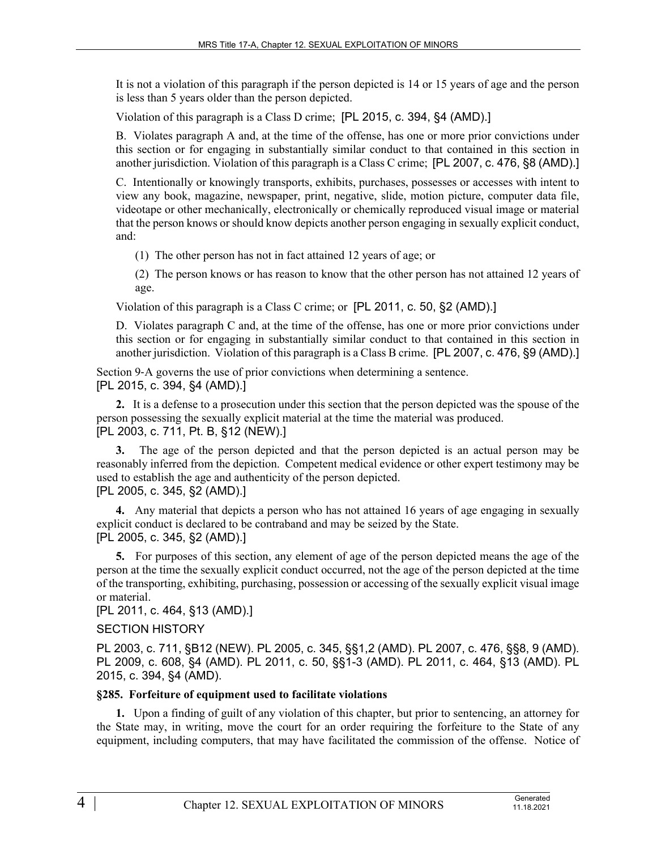It is not a violation of this paragraph if the person depicted is 14 or 15 years of age and the person is less than 5 years older than the person depicted.

Violation of this paragraph is a Class D crime; [PL 2015, c. 394, §4 (AMD).]

B. Violates paragraph A and, at the time of the offense, has one or more prior convictions under this section or for engaging in substantially similar conduct to that contained in this section in another jurisdiction. Violation of this paragraph is a Class C crime; [PL 2007, c. 476, §8 (AMD).]

C. Intentionally or knowingly transports, exhibits, purchases, possesses or accesses with intent to view any book, magazine, newspaper, print, negative, slide, motion picture, computer data file, videotape or other mechanically, electronically or chemically reproduced visual image or material that the person knows or should know depicts another person engaging in sexually explicit conduct, and:

(1) The other person has not in fact attained 12 years of age; or

(2) The person knows or has reason to know that the other person has not attained 12 years of age.

Violation of this paragraph is a Class C crime; or [PL 2011, c. 50, §2 (AMD).]

D. Violates paragraph C and, at the time of the offense, has one or more prior convictions under this section or for engaging in substantially similar conduct to that contained in this section in another jurisdiction. Violation of this paragraph is a Class B crime. [PL 2007, c. 476, §9 (AMD).]

Section 9-A governs the use of prior convictions when determining a sentence.

[PL 2015, c. 394, §4 (AMD).]

**2.** It is a defense to a prosecution under this section that the person depicted was the spouse of the person possessing the sexually explicit material at the time the material was produced. [PL 2003, c. 711, Pt. B, §12 (NEW).]

**3.** The age of the person depicted and that the person depicted is an actual person may be reasonably inferred from the depiction. Competent medical evidence or other expert testimony may be used to establish the age and authenticity of the person depicted. [PL 2005, c. 345, §2 (AMD).]

**4.** Any material that depicts a person who has not attained 16 years of age engaging in sexually explicit conduct is declared to be contraband and may be seized by the State. [PL 2005, c. 345, §2 (AMD).]

**5.** For purposes of this section, any element of age of the person depicted means the age of the person at the time the sexually explicit conduct occurred, not the age of the person depicted at the time of the transporting, exhibiting, purchasing, possession or accessing of the sexually explicit visual image or material.

[PL 2011, c. 464, §13 (AMD).]

### SECTION HISTORY

PL 2003, c. 711, §B12 (NEW). PL 2005, c. 345, §§1,2 (AMD). PL 2007, c. 476, §§8, 9 (AMD). PL 2009, c. 608, §4 (AMD). PL 2011, c. 50, §§1-3 (AMD). PL 2011, c. 464, §13 (AMD). PL 2015, c. 394, §4 (AMD).

### **§285. Forfeiture of equipment used to facilitate violations**

**1.** Upon a finding of guilt of any violation of this chapter, but prior to sentencing, an attorney for the State may, in writing, move the court for an order requiring the forfeiture to the State of any equipment, including computers, that may have facilitated the commission of the offense. Notice of